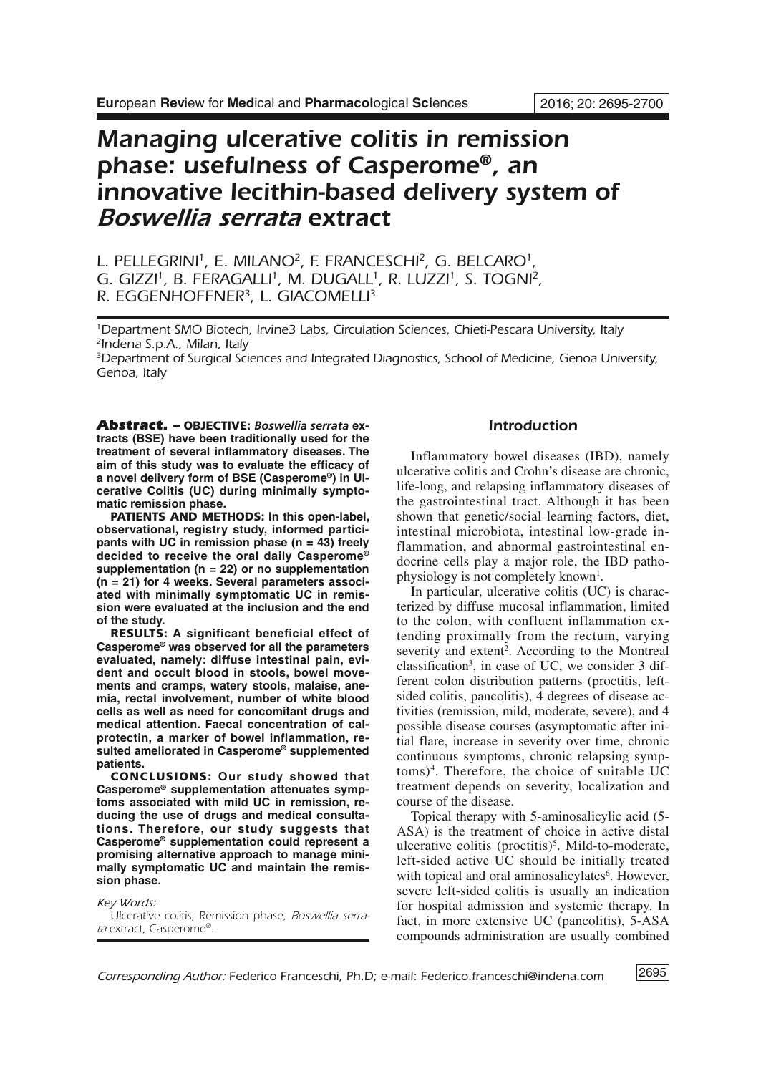# *Managing ulcerative colitis in remission phase: usefulness of Casperome®, an innovative lecithin-based delivery system of Boswellia serrata extract*

*L. PELLEGRINI 1, E. MILANO2, F. FRANCESCHI 2, G. BELCARO1, G. GIZZI 1, B. FERAGALLI 1, M. DUGALL1, R. LUZZI 1, S. TOGNI 2, R. EGGENHOFFNER3, L. GIACOMELLI 3*

*1Department SMO Biotech, Irvine3 Labs, Circulation Sciences, Chieti-Pescara University, Italy 2Indena S.p.A., Milan, Italy*

*3Department of Surgical Sciences and Integrated Diagnostics, School of Medicine, Genoa University, Genoa, Italy*

*Abstract. –* **OBJECTIVE:** *Boswellia serrata* **extracts (BSE) have been traditionally used for the treatment of several inflammatory diseases. The aim of this study was to evaluate the efficacy of a novel delivery form of BSE (Casperome®) in Ulcerative Colitis (UC) during minimally symptomatic remission phase.**

**PATIENTS AND METHODS: In this open-label, observational, registry study, informed participants with UC in remission phase (n = 43) freely decided to receive the oral daily Casperome® supplementation (n = 22) or no supplementation (n = 21) for 4 weeks. Several parameters associated with minimally symptomatic UC in remission were evaluated at the inclusion and the end of the study.**

**RESULTS: A significant beneficial effect of Casperome® was observed for all the parameters evaluated, namely: diffuse intestinal pain, evident and occult blood in stools, bowel movements and cramps, watery stools, malaise, anemia, rectal involvement, number of white blood cells as well as need for concomitant drugs and medical attention. Faecal concentration of calprotectin, a marker of bowel inflammation, resulted ameliorated in Casperome® supplemented patients.**

**CONCLUSIONS: Our study showed that Casperome® supplementation attenuates symptoms associated with mild UC in remission, reducing the use of drugs and medical consultations. Therefore, our study suggests that Casperome® supplementation could represent a promising alternative approach to manage minimally symptomatic UC and maintain the remission phase.**

*Key Words:*

*Ulcerative colitis, Remission phase, Boswellia serrata extract, Casperome®.*

# *Introduction*

Inflammatory bowel diseases (IBD), namely ulcerative colitis and Crohn's disease are chronic, life-long, and relapsing inflammatory diseases of the gastrointestinal tract. Although it has been shown that genetic/social learning factors, diet, intestinal microbiota, intestinal low-grade inflammation, and abnormal gastrointestinal endocrine cells play a major role, the IBD pathophysiology is not completely known<sup>1</sup>.

In particular, ulcerative colitis (UC) is characterized by diffuse mucosal inflammation, limited to the colon, with confluent inflammation extending proximally from the rectum, varying severity and extent<sup>2</sup>. According to the Montreal classification<sup>3</sup>, in case of UC, we consider 3 different colon distribution patterns (proctitis, leftsided colitis, pancolitis), 4 degrees of disease activities (remission, mild, moderate, severe), and 4 possible disease courses (asymptomatic after initial flare, increase in severity over time, chronic continuous symptoms, chronic relapsing symptoms)4 . Therefore, the choice of suitable UC treatment depends on severity, localization and course of the disease.

Topical therapy with 5-aminosalicylic acid (5- ASA) is the treatment of choice in active distal ulcerative colitis (proctitis)<sup>5</sup>. Mild-to-moderate, left-sided active UC should be initially treated with topical and oral aminosalicylates<sup>6</sup>. However, severe left-sided colitis is usually an indication for hospital admission and systemic therapy. In fact, in more extensive UC (pancolitis), 5-ASA compounds administration are usually combined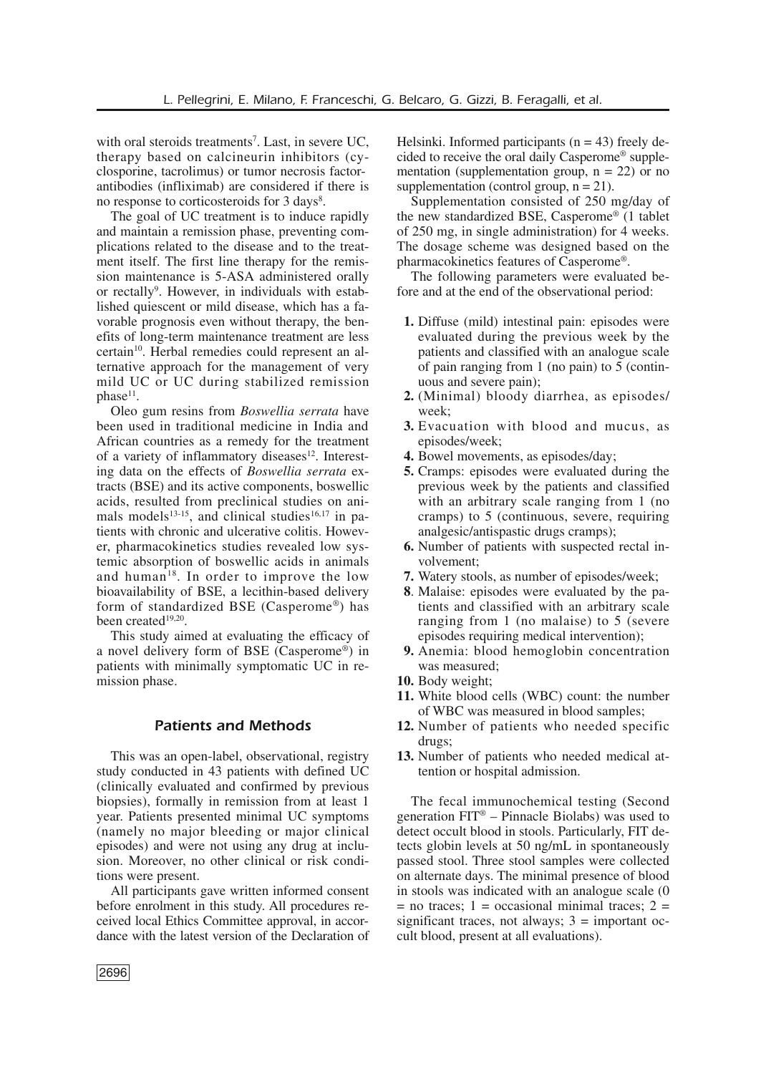with oral steroids treatments<sup>7</sup>. Last, in severe UC, therapy based on calcineurin inhibitors (cyclosporine, tacrolimus) or tumor necrosis factorantibodies (infliximab) are considered if there is no response to corticosteroids for 3 days<sup>8</sup>.

The goal of UC treatment is to induce rapidly and maintain a remission phase, preventing complications related to the disease and to the treatment itself. The first line therapy for the remission maintenance is 5-ASA administered orally or rectally<sup>9</sup>. However, in individuals with established quiescent or mild disease, which has a favorable prognosis even without therapy, the benefits of long-term maintenance treatment are less certain<sup>10</sup>. Herbal remedies could represent an alternative approach for the management of very mild UC or UC during stabilized remission  $phase<sup>11</sup>$ .

Oleo gum resins from *Boswellia serrata* have been used in traditional medicine in India and African countries as a remedy for the treatment of a variety of inflammatory diseases<sup>12</sup>. Interesting data on the effects of *Boswellia serrata* extracts (BSE) and its active components, boswellic acids, resulted from preclinical studies on animals models<sup>13-15</sup>, and clinical studies<sup>16,17</sup> in patients with chronic and ulcerative colitis. However, pharmacokinetics studies revealed low systemic absorption of boswellic acids in animals and human<sup>18</sup>. In order to improve the low bioavailability of BSE, a lecithin-based delivery form of standardized BSE (Casperome®) has been created<sup>19,20</sup>.

This study aimed at evaluating the efficacy of a novel delivery form of BSE (Casperome®) in patients with minimally symptomatic UC in remission phase.

## *Patients and Methods*

This was an open-label, observational, registry study conducted in 43 patients with defined UC (clinically evaluated and confirmed by previous biopsies), formally in remission from at least 1 year. Patients presented minimal UC symptoms (namely no major bleeding or major clinical episodes) and were not using any drug at inclusion. Moreover, no other clinical or risk conditions were present.

All participants gave written informed consent before enrolment in this study. All procedures received local Ethics Committee approval, in accordance with the latest version of the Declaration of Helsinki. Informed participants  $(n = 43)$  freely decided to receive the oral daily Casperome® supplementation (supplementation group,  $n = 22$ ) or no supplementation (control group,  $n = 21$ ).

Supplementation consisted of 250 mg/day of the new standardized BSE, Casperome® (1 tablet of 250 mg, in single administration) for 4 weeks. The dosage scheme was designed based on the pharmacokinetics features of Casperome®.

The following parameters were evaluated before and at the end of the observational period:

- **1.** Diffuse (mild) intestinal pain: episodes were evaluated during the previous week by the patients and classified with an analogue scale of pain ranging from 1 (no pain) to 5 (continuous and severe pain);
- **2.** (Minimal) bloody diarrhea, as episodes/ week;
- **3.** Evacuation with blood and mucus, as episodes/week;
- **4.** Bowel movements, as episodes/day;
- **5.** Cramps: episodes were evaluated during the previous week by the patients and classified with an arbitrary scale ranging from 1 (no cramps) to 5 (continuous, severe, requiring analgesic/antispastic drugs cramps);
- **6.** Number of patients with suspected rectal involvement;
- **7.** Watery stools, as number of episodes/week;
- **8**. Malaise: episodes were evaluated by the patients and classified with an arbitrary scale ranging from 1 (no malaise) to 5 (severe episodes requiring medical intervention);
- **9.** Anemia: blood hemoglobin concentration was measured;
- **10.** Body weight;
- **11.** White blood cells (WBC) count: the number of WBC was measured in blood samples;
- **12.** Number of patients who needed specific drugs;
- **13.** Number of patients who needed medical attention or hospital admission.

The fecal immunochemical testing (Second generation  $FIT^@$  – Pinnacle Biolabs) was used to detect occult blood in stools. Particularly, FIT detects globin levels at 50 ng/mL in spontaneously passed stool. Three stool samples were collected on alternate days. The minimal presence of blood in stools was indicated with an analogue scale (0  $=$  no traces; 1 = occasional minimal traces; 2 = significant traces, not always;  $3 =$  important occult blood, present at all evaluations).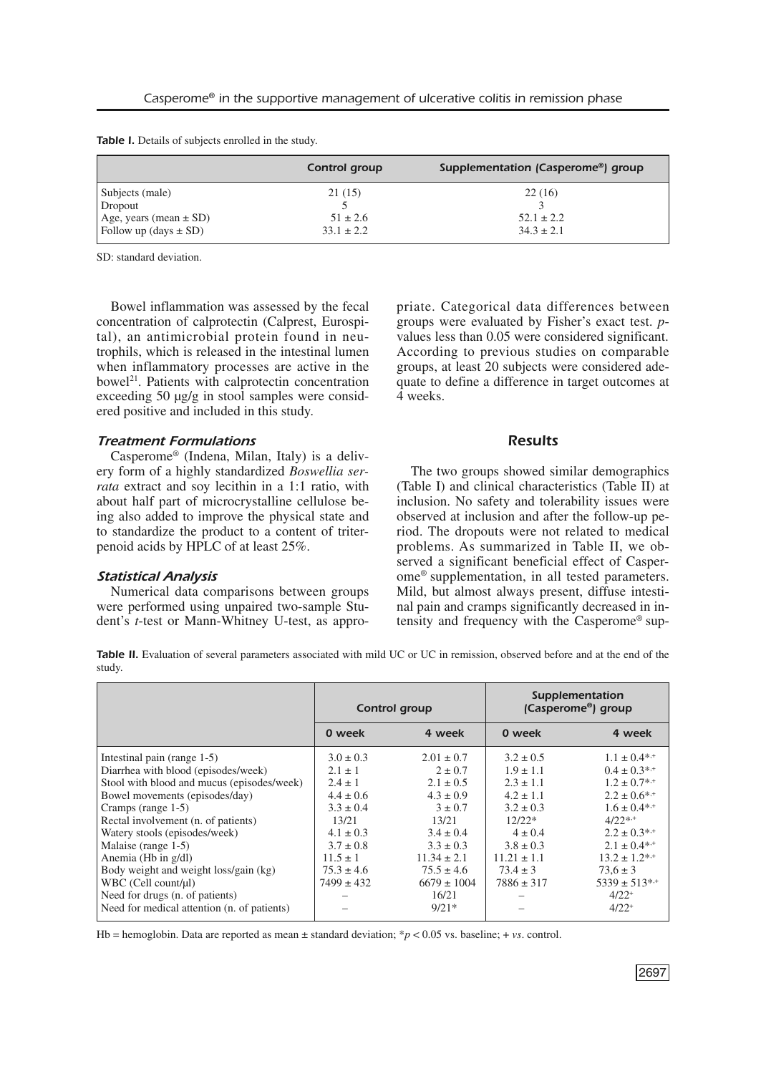|  | Table I. Details of subjects enrolled in the study. |  |
|--|-----------------------------------------------------|--|
|--|-----------------------------------------------------|--|

|                            | Control group  | Supplementation (Casperome®) group |
|----------------------------|----------------|------------------------------------|
| Subjects (male)            | 21(15)         | 22(16)                             |
| Dropout                    |                |                                    |
| Age, years (mean $\pm$ SD) | $51 \pm 2.6$   | $52.1 \pm 2.2$                     |
| Follow up (days $\pm$ SD)  | $33.1 \pm 2.2$ | $34.3 \pm 2.1$                     |

SD: standard deviation.

Bowel inflammation was assessed by the fecal concentration of calprotectin (Calprest, Eurospital), an antimicrobial protein found in neutrophils, which is released in the intestinal lumen when inflammatory processes are active in the bowel 21 . Patients with calprotectin concentration exceeding 50 µg/g in stool samples were considered positive and included in this study.

## *Treatment Formulations*

Casperome® (Indena, Milan, Italy) is a delivery form of a highly standardized *Boswellia serrata* extract and soy lecithin in a 1:1 ratio, with about half part of microcrystalline cellulose being also added to improve the physical state and to standardize the product to a content of triterpenoid acids by HPLC of at least 25%.

## *Statistical Analysis*

Numerical data comparisons between groups were performed using unpaired two-sample Student's *t*-test or Mann-Whitney U-test, as appropriate. Categorical data differences between groups were evaluated by Fisher's exact test. *p*values less than 0.05 were considered significant. According to previous studies on comparable groups, at least 20 subjects were considered adequate to define a difference in target outcomes at 4 weeks.

# *Results*

The two groups showed similar demographics (Table I) and clinical characteristics (Table II) at inclusion. No safety and tolerability issues were observed at inclusion and after the follow-up period. The dropouts were not related to medical problems. As summarized in Table II, we observed a significant beneficial effect of Casperome® supplementation, in all tested parameters. Mild, but almost always present, diffuse intestinal pain and cramps significantly decreased in intensity and frequency with the Casperome® sup-

*Table II.* Evaluation of several parameters associated with mild UC or UC in remission, observed before and at the end of the study.

|                                             | Control group  |                 | Supplementation<br>(Casperome®) group |                              |  |
|---------------------------------------------|----------------|-----------------|---------------------------------------|------------------------------|--|
|                                             | 0 week         | 4 week          | 0 week                                | 4 week                       |  |
| Intestinal pain (range 1-5)                 | $3.0 \pm 0.3$  | $2.01 \pm 0.7$  | $3.2 \pm 0.5$                         | $1.1 \pm 0.4$ * <sup>*</sup> |  |
| Diarrhea with blood (episodes/week)         | $2.1 \pm 1$    | $2 \pm 0.7$     | $1.9 \pm 1.1$                         | $0.4 \pm 0.3^{*,+}$          |  |
| Stool with blood and mucus (episodes/week)  | $2.4 \pm 1$    | $2.1 \pm 0.5$   | $2.3 \pm 1.1$                         | $1.2 \pm 0.7$ **             |  |
| Bowel movements (episodes/day)              | $4.4 \pm 0.6$  | $4.3 \pm 0.9$   | $4.2 \pm 1.1$                         | $2.2 \pm 0.6^{*+}$           |  |
| Cramps (range 1-5)                          | $3.3 \pm 0.4$  | $3 \pm 0.7$     | $3.2 \pm 0.3$                         | $1.6 \pm 0.4$ * <sup>*</sup> |  |
| Rectal involvement (n. of patients)         | 13/21          | 13/21           | $12/22*$                              | $4/22$ *,+                   |  |
| Watery stools (episodes/week)               | $4.1 \pm 0.3$  | $3.4 \pm 0.4$   | $4 \pm 0.4$                           | $2.2 \pm 0.3^{*,+}$          |  |
| Malaise (range 1-5)                         | $3.7 \pm 0.8$  | $3.3 \pm 0.3$   | $3.8 \pm 0.3$                         | $2.1 \pm 0.4^{*,+}$          |  |
| Anemia (Hb in g/dl)                         | $11.5 \pm 1$   | $11.34 \pm 2.1$ | $11.21 \pm 1.1$                       | $13.2 \pm 1.2^{*,+}$         |  |
| Body weight and weight loss/gain (kg)       | $75.3 \pm 4.6$ | $75.5 \pm 4.6$  | $73.4 \pm 3$                          | $73.6 \pm 3$                 |  |
| WBC (Cell count/µl)                         | $7499 \pm 432$ | $6679 \pm 1004$ | $7886 \pm 317$                        | $5339 \pm 513^{*,+}$         |  |
| Need for drugs (n. of patients)             |                | 16/21           |                                       | $4/22$ <sup>+</sup>          |  |
| Need for medical attention (n. of patients) |                | $9/21*$         |                                       | $4/22^{+}$                   |  |

Hb = hemoglobin. Data are reported as mean  $\pm$  standard deviation; \* $p < 0.05$  vs. baseline; + *vs*. control.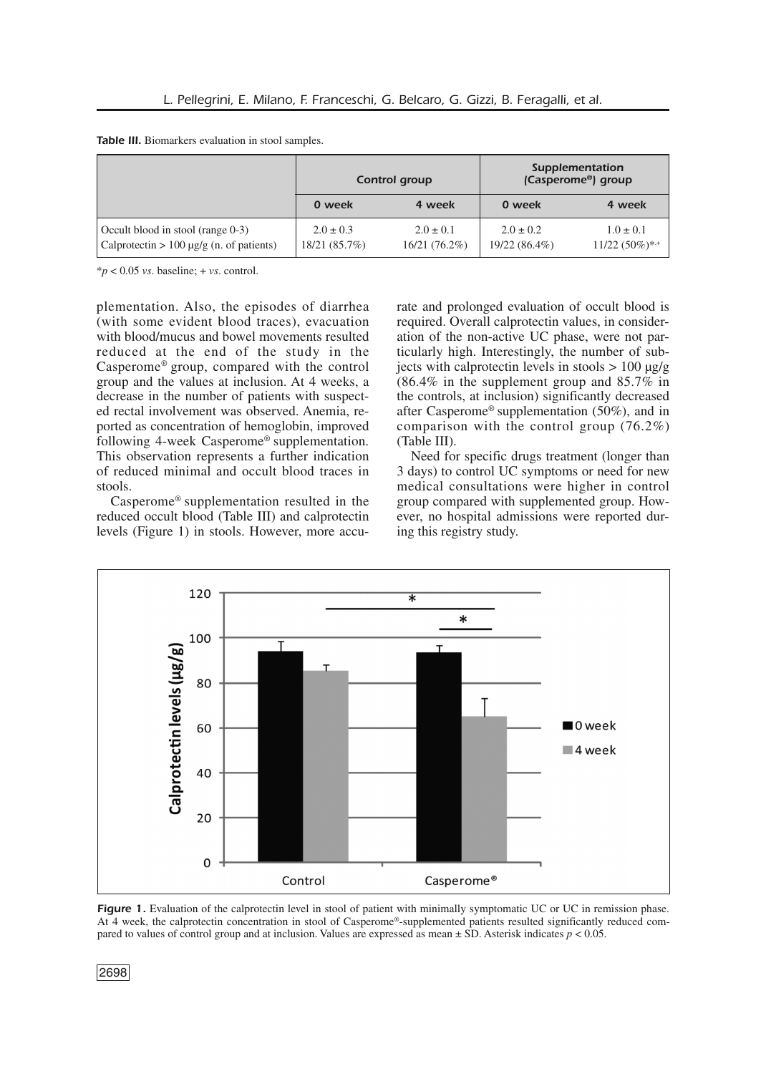|  |  | Table III. Biomarkers evaluation in stool samples. |  |  |  |  |
|--|--|----------------------------------------------------|--|--|--|--|
|--|--|----------------------------------------------------|--|--|--|--|

|                                                                                    | Control group                  |                                  | Supplementation<br>(Casperome <sup>®</sup> ) group |                                                  |  |
|------------------------------------------------------------------------------------|--------------------------------|----------------------------------|----------------------------------------------------|--------------------------------------------------|--|
|                                                                                    | 0 week                         | 4 week                           | 0 week                                             | 4 week                                           |  |
| Occult blood in stool (range 0-3)<br>Calprotectin $> 100 \mu g/g$ (n. of patients) | $2.0 \pm 0.3$<br>18/21 (85.7%) | $2.0 \pm 0.1$<br>$16/21(76.2\%)$ | $2.0 \pm 0.2$<br>$19/22(86.4\%)$                   | $1.0 \pm 0.1$<br>$11/22$ $(50\%)$ * <sup>+</sup> |  |

 $**p* < 0.05$  *vs*. baseline; + *vs*. control.

plementation. Also, the episodes of diarrhea (with some evident blood traces), evacuation with blood/mucus and bowel movements resulted reduced at the end of the study in the Casperome® group, compared with the control group and the values at inclusion. At 4 weeks, a decrease in the number of patients with suspected rectal involvement was observed. Anemia, reported as concentration of hemoglobin, improved following 4-week Casperome® supplementation. This observation represents a further indication of reduced minimal and occult blood traces in stools.

Casperome® supplementation resulted in the reduced occult blood (Table III) and calprotectin levels (Figure 1) in stools. However, more accurate and prolonged evaluation of occult blood is required. Overall calprotectin values, in consideration of the non-active UC phase, were not particularly high. Interestingly, the number of subjects with calprotectin levels in stools  $> 100 \mu g/g$ (86.4% in the supplement group and 85.7% in the controls, at inclusion) significantly decreased after Casperome® supplementation (50%), and in comparison with the control group (76.2%) (Table III).

Need for specific drugs treatment (longer than 3 days) to control UC symptoms or need for new medical consultations were higher in control group compared with supplemented group. However, no hospital admissions were reported during this registry study.



**Figure 1.** Evaluation of the calprotectin level in stool of patient with minimally symptomatic UC or UC in remission phase. At 4 week, the calprotectin concentration in stool of Casperome®-supplemented patients resulted significantly reduced compared to values of control group and at inclusion. Values are expressed as mean ± SD. Asterisk indicates *p* < 0.05.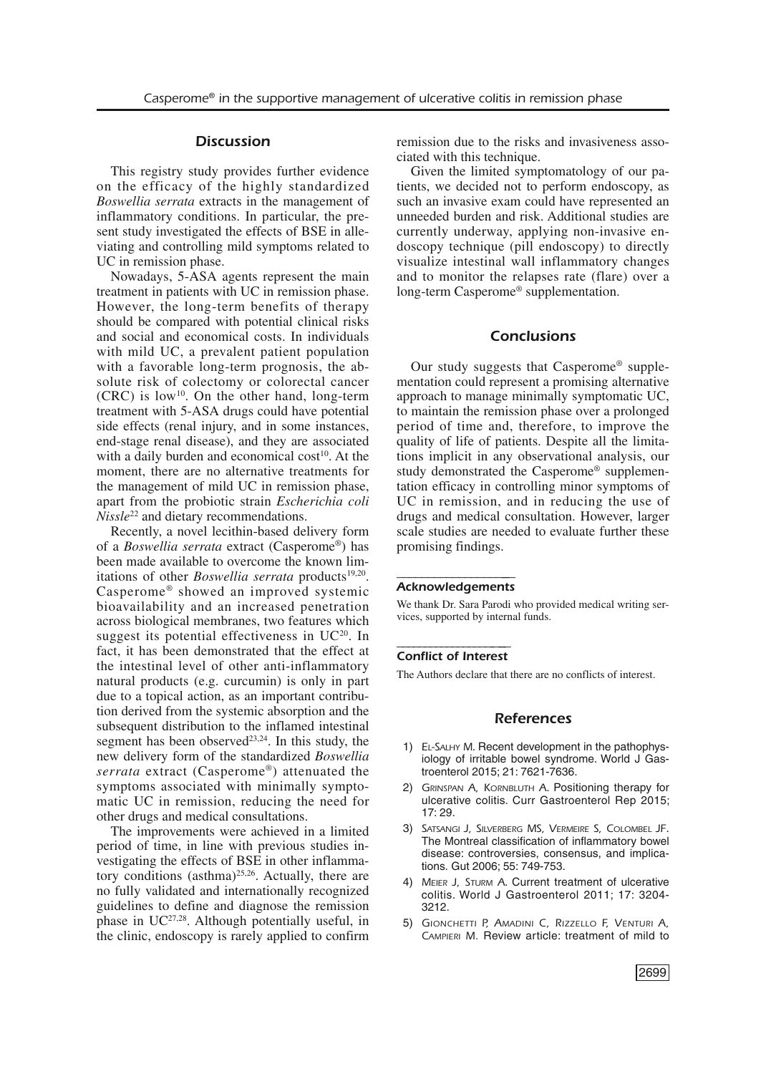#### *Discussion*

This registry study provides further evidence on the efficacy of the highly standardized *Boswellia serrata* extracts in the management of inflammatory conditions. In particular, the present study investigated the effects of BSE in alleviating and controlling mild symptoms related to UC in remission phase.

Nowadays, 5-ASA agents represent the main treatment in patients with UC in remission phase. However, the long-term benefits of therapy should be compared with potential clinical risks and social and economical costs. In individuals with mild UC, a prevalent patient population with a favorable long-term prognosis, the absolute risk of colectomy or colorectal cancer  $(CRC)$  is low<sup>10</sup>. On the other hand, long-term treatment with 5-ASA drugs could have potential side effects (renal injury, and in some instances, end-stage renal disease), and they are associated with a daily burden and economical cost<sup>10</sup>. At the moment, there are no alternative treatments for the management of mild UC in remission phase, apart from the probiotic strain *Escherichia coli Nissle*<sup>22</sup> and dietary recommendations.

Recently, a novel lecithin-based delivery form of a *Boswellia serrata* extract (Casperome®) has been made available to overcome the known limitations of other *Boswellia serrata* products<sup>19,20</sup>. Casperome® showed an improved systemic bioavailability and an increased penetration across biological membranes, two features which suggest its potential effectiveness in  $UC^{20}$ . In fact, it has been demonstrated that the effect at the intestinal level of other anti-inflammatory natural products (e.g. curcumin) is only in part due to a topical action, as an important contribution derived from the systemic absorption and the subsequent distribution to the inflamed intestinal segment has been observed $2^{3,24}$ . In this study, the new delivery form of the standardized *Boswellia serrata* extract (Casperome®) attenuated the symptoms associated with minimally symptomatic UC in remission, reducing the need for other drugs and medical consultations.

The improvements were achieved in a limited period of time, in line with previous studies investigating the effects of BSE in other inflammatory conditions (asthma) $25,26$ . Actually, there are no fully validated and internationally recognized guidelines to define and diagnose the remission phase in UC<sup>27,28</sup>. Although potentially useful, in the clinic, endoscopy is rarely applied to confirm remission due to the risks and invasiveness associated with this technique.

Given the limited symptomatology of our patients, we decided not to perform endoscopy, as such an invasive exam could have represented an unneeded burden and risk. Additional studies are currently underway, applying non-invasive endoscopy technique (pill endoscopy) to directly visualize intestinal wall inflammatory changes and to monitor the relapses rate (flare) over a long-term Casperome® supplementation.

# *Conclusions*

Our study suggests that Casperome® supplementation could represent a promising alternative approach to manage minimally symptomatic UC, to maintain the remission phase over a prolonged period of time and, therefore, to improve the quality of life of patients. Despite all the limitations implicit in any observational analysis, our study demonstrated the Casperome® supplementation efficacy in controlling minor symptoms of UC in remission, and in reducing the use of drugs and medical consultation. However, larger scale studies are needed to evaluate further these promising findings.

#### ––––––––––––––––––– *Acknowledgements*

We thank Dr. Sara Parodi who provided medical writing services, supported by internal funds.

### –––––––––––––––––-––– *Conflict of Interest*

The Authors declare that there are no conflicts of interest.

#### *References*

- 1) *EL-SALHY M*. Recent development in the pathophysiology of irritable bowel syndrome. World J Gastroenterol 2015; 21: 7621-7636.
- 2) *GRINSPAN A, KORNBLUTH A*. Positioning therapy for ulcerative colitis. Curr Gastroenterol Rep 2015; 17: 29.
- 3) *SATSANGI J, SILVERBERG MS, VERMEIRE S, COLOMBEL JF*. The Montreal classification of inflammatory bowel disease: controversies, consensus, and implications. Gut 2006; 55: 749-753.
- 4) *MEIER J, STURM A*. Current treatment of ulcerative colitis. World J Gastroenterol 2011; 17: 3204- 3212.
- 5) *GIONCHETTI P, AMADINI C, RIZZELLO F, VENTURI A, CAMPIERI M.* Review article: treatment of mild to